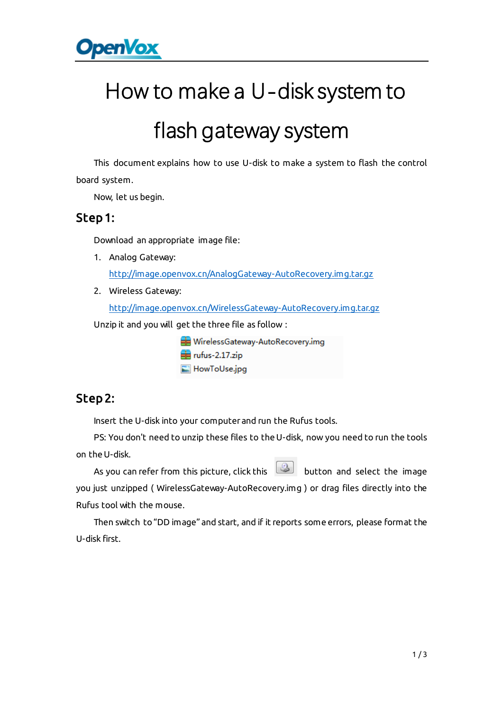

# How to make a U-disk system to

## flash gateway system

This document explains how to use U-disk to make a system to flash the control board system.

Now, let us begin.

#### Step 1:

Download an appropriate image file:

- 1. Analog Gateway: <http://image.openvox.cn/AnalogGateway-AutoRecovery.img.tar.gz>
- 2. Wireless Gateway:

<http://image.openvox.cn/WirelessGateway-AutoRecovery.img.tar.gz>

Unzip it and you will get the three file as follow :

WirelessGateway-AutoRecovery.img  $\equiv$  rufus-2.17.zip HowToUse.jpg

### Step 2:

Insert the U-disk into your computerand run the Rufus tools.

PS: You don't need to unzip these files to the U-disk, now you need to run the tools on the U-disk.

As you can refer from this picture, click this **button** and select the image you just unzipped ( WirelessGateway-AutoRecovery.img ) or drag files directly into the Rufus tool with the mouse.

Then switch to "DD image" and start, and if it reports some errors, please format the U-disk first.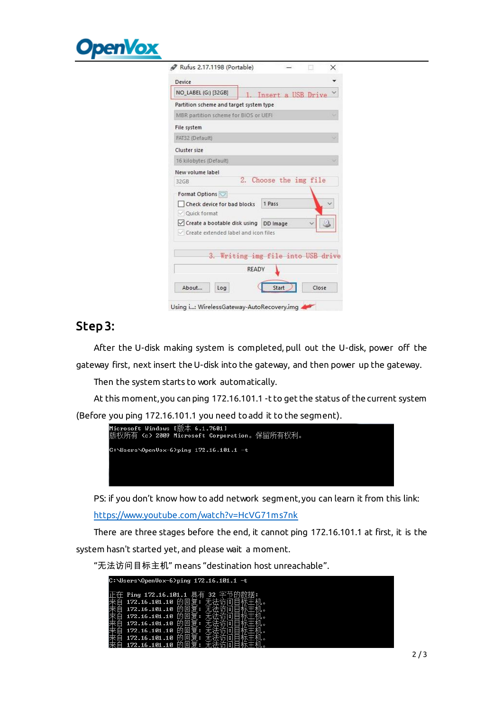

| Device<br>NO_LABEL (G:) [32GB]<br>1. Insert a USB Drive<br>Partition scheme and target system type<br>MBR partition scheme for BIOS or UEFI<br>File system<br>FAT32 (Default)<br>Cluster size |  |
|-----------------------------------------------------------------------------------------------------------------------------------------------------------------------------------------------|--|
|                                                                                                                                                                                               |  |
|                                                                                                                                                                                               |  |
|                                                                                                                                                                                               |  |
|                                                                                                                                                                                               |  |
|                                                                                                                                                                                               |  |
|                                                                                                                                                                                               |  |
| 16 kilobytes (Default)                                                                                                                                                                        |  |
| New volume label                                                                                                                                                                              |  |
| 2. Choose the img file<br>32GB                                                                                                                                                                |  |
| Format Options                                                                                                                                                                                |  |
| 1 Pass<br>Check device for bad blocks                                                                                                                                                         |  |
| Quick format                                                                                                                                                                                  |  |
| √ Create a bootable disk using DD Image                                                                                                                                                       |  |
| Create extended label and icon files                                                                                                                                                          |  |

Using i...: WirelessGateway-AutoRecovery.img

## Step 3:

After the U-disk making system is completed, pull out the U-disk, power off the gateway first, next insert the U-disk into the gateway, and then power up the gateway.

Then the system starts to work automatically.

At this moment, you can ping 172.16.101.1 -t to get the status of the current system

(Before you ping 172.16.101.1 you need to add it to the segment).



PS: if you don't know how to add network segment, you can learn it from this link:

<https://www.youtube.com/watch?v=HcVG71ms7nk>

There are three stages before the end, it cannot ping 172.16.101.1 at first, it is the system hasn't started yet, and please wait a moment.

"无法访问目标主机" means "destination host unreachable".

| $C:$ Wsers \OpenVox-6>ping 172.16.101.1 -t   |  |  |
|----------------------------------------------|--|--|
| Ping 172.16.101.1 具有<br>172.16.101.10 的      |  |  |
| 172.16.101.10                                |  |  |
| 172.16.101.10<br>172.16.101.10               |  |  |
| 172.16.101.10<br>172.16.101.10<br>199 16 181 |  |  |